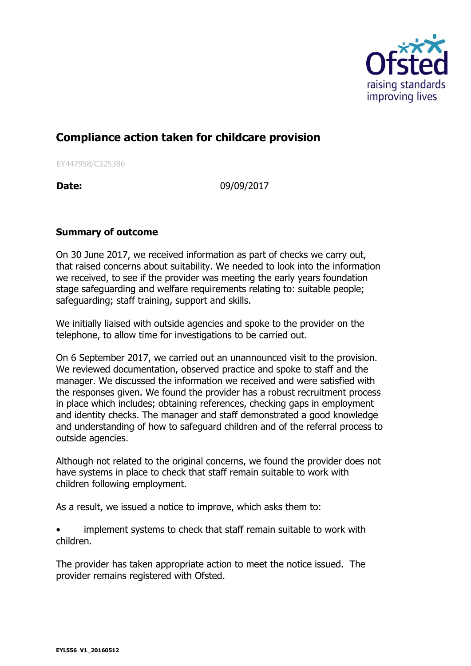

## **Compliance action taken for childcare provision**

EY447958/C325386

**Date:** 09/09/2017

## **Summary of outcome**

On 30 June 2017, we received information as part of checks we carry out, that raised concerns about suitability. We needed to look into the information we received, to see if the provider was meeting the early years foundation stage safeguarding and welfare requirements relating to: suitable people; safeguarding; staff training, support and skills.

We initially liaised with outside agencies and spoke to the provider on the telephone, to allow time for investigations to be carried out.

On 6 September 2017, we carried out an unannounced visit to the provision. We reviewed documentation, observed practice and spoke to staff and the manager. We discussed the information we received and were satisfied with the responses given. We found the provider has a robust recruitment process in place which includes; obtaining references, checking gaps in employment and identity checks. The manager and staff demonstrated a good knowledge and understanding of how to safeguard children and of the referral process to outside agencies.

Although not related to the original concerns, we found the provider does not have systems in place to check that staff remain suitable to work with children following employment.

As a result, we issued a notice to improve, which asks them to:

implement systems to check that staff remain suitable to work with children.

The provider has taken appropriate action to meet the notice issued. The provider remains registered with Ofsted.